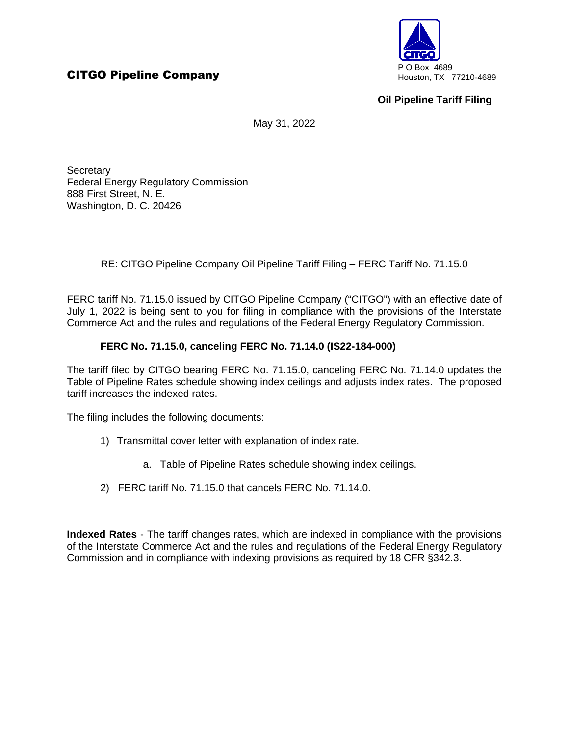

# **Oil Pipeline Tariff Filing**

May 31, 2022

**Secretary** Federal Energy Regulatory Commission 888 First Street, N. E. Washington, D. C. 20426

RE: CITGO Pipeline Company Oil Pipeline Tariff Filing – FERC Tariff No. 71.15.0

FERC tariff No. 71.15.0 issued by CITGO Pipeline Company ("CITGO") with an effective date of July 1, 2022 is being sent to you for filing in compliance with the provisions of the Interstate Commerce Act and the rules and regulations of the Federal Energy Regulatory Commission.

### **FERC No. 71.15.0, canceling FERC No. 71.14.0 (IS22-184-000)**

The tariff filed by CITGO bearing FERC No. 71.15.0, canceling FERC No. 71.14.0 updates the Table of Pipeline Rates schedule showing index ceilings and adjusts index rates. The proposed tariff increases the indexed rates.

The filing includes the following documents:

- 1) Transmittal cover letter with explanation of index rate.
	- a. Table of Pipeline Rates schedule showing index ceilings.
- 2) FERC tariff No. 71.15.0 that cancels FERC No. 71.14.0.

**Indexed Rates** - The tariff changes rates, which are indexed in compliance with the provisions of the Interstate Commerce Act and the rules and regulations of the Federal Energy Regulatory Commission and in compliance with indexing provisions as required by 18 CFR §342.3.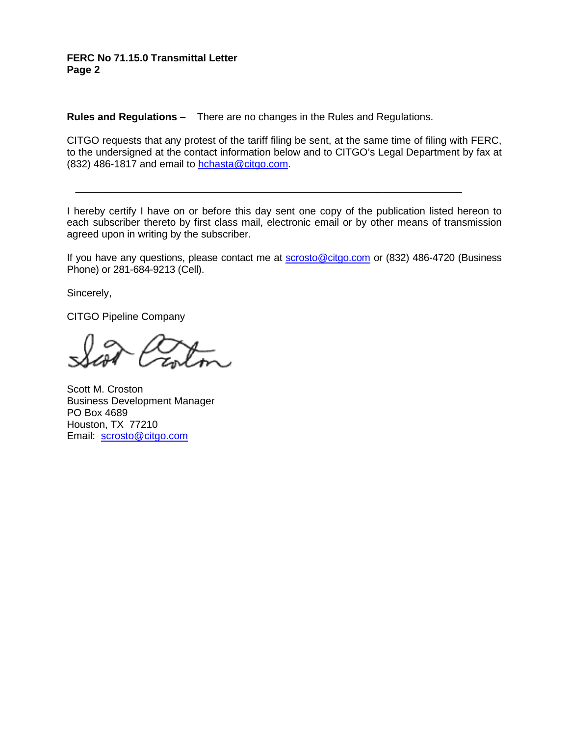### **FERC No 71.15.0 Transmittal Letter Page 2**

**Rules and Regulations** – There are no changes in the Rules and Regulations.

CITGO requests that any protest of the tariff filing be sent, at the same time of filing with FERC, to the undersigned at the contact information below and to CITGO's Legal Department by fax at (832) 486-1817 and email to hchasta@citgo.com.

I hereby certify I have on or before this day sent one copy of the publication listed hereon to each subscriber thereto by first class mail, electronic email or by other means of transmission agreed upon in writing by the subscriber.

\_\_\_\_\_\_\_\_\_\_\_\_\_\_\_\_\_\_\_\_\_\_\_\_\_\_\_\_\_\_\_\_\_\_\_\_\_\_\_\_\_\_\_\_\_\_\_\_\_\_\_\_\_\_\_\_\_\_\_\_\_\_\_\_\_\_\_\_

If you have any questions, please contact me at **scrosto@citgo.com** or (832) 486-4720 (Business Phone) or 281-684-9213 (Cell).

Sincerely,

CITGO Pipeline Company

Scott M. Croston Business Development Manager PO Box 4689 Houston, TX 77210 Email: scrosto@citgo.com